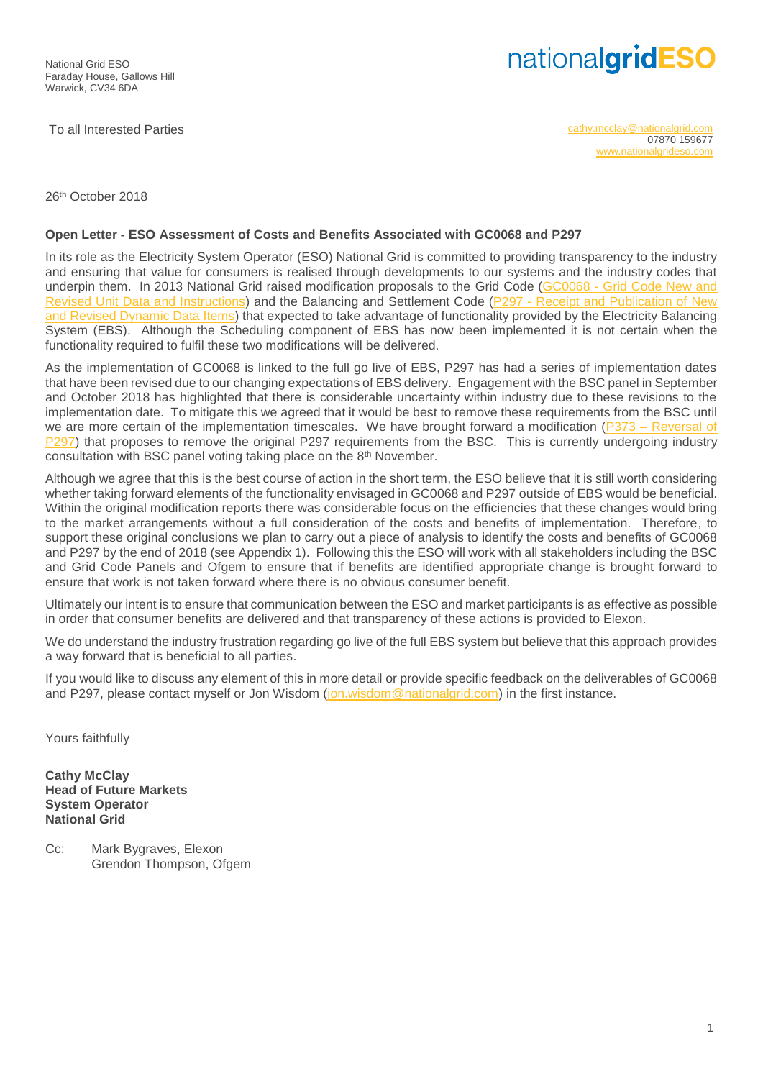## nationalgridESO

To all Interested Parties [cathy.mcclay@nationalgrid.com](mailto:cathy.mcclay@nationalgrid.com) 07870 159677 [www.nationalgrideso.com](http://www.nationalgrideso.com/)

26 th October 2018

## **Open Letter - ESO Assessment of Costs and Benefits Associated with GC0068 and P297**

In its role as the Electricity System Operator (ESO) National Grid is committed to providing transparency to the industry and ensuring that value for consumers is realised through developments to our systems and the industry codes that underpin them. In 2013 National Grid raised modification proposals to the Grid Code (GC0068 - [Grid Code New and](https://www.nationalgrideso.com/codes/grid-code/modifications/gc0068-grid-code-new-and-revised-unit-data-and-instructions)  [Revised Unit Data and Instructions\)](https://www.nationalgrideso.com/codes/grid-code/modifications/gc0068-grid-code-new-and-revised-unit-data-and-instructions) and the Balancing and Settlement Code (P297 - [Receipt and Publication of New](https://www.elexon.co.uk/mod-proposal/p297/)  [and Revised Dynamic Data Items\)](https://www.elexon.co.uk/mod-proposal/p297/) that expected to take advantage of functionality provided by the Electricity Balancing System (EBS). Although the Scheduling component of EBS has now been implemented it is not certain when the functionality required to fulfil these two modifications will be delivered.

As the implementation of GC0068 is linked to the full go live of EBS, P297 has had a series of implementation dates that have been revised due to our changing expectations of EBS delivery. Engagement with the BSC panel in September and October 2018 has highlighted that there is considerable uncertainty within industry due to these revisions to the implementation date. To mitigate this we agreed that it would be best to remove these requirements from the BSC until we are more certain of the implementation timescales. We have brought forward a modification (P373 – Reversal of [P297\)](https://www.elexon.co.uk/mod-proposal/p373/) that proposes to remove the original P297 requirements from the BSC. This is currently undergoing industry consultation with BSC panel voting taking place on the 8th November.

Although we agree that this is the best course of action in the short term, the ESO believe that it is still worth considering whether taking forward elements of the functionality envisaged in GC0068 and P297 outside of EBS would be beneficial. Within the original modification reports there was considerable focus on the efficiencies that these changes would bring to the market arrangements without a full consideration of the costs and benefits of implementation. Therefore, to support these original conclusions we plan to carry out a piece of analysis to identify the costs and benefits of GC0068 and P297 by the end of 2018 (see Appendix 1). Following this the ESO will work with all stakeholders including the BSC and Grid Code Panels and Ofgem to ensure that if benefits are identified appropriate change is brought forward to ensure that work is not taken forward where there is no obvious consumer benefit.

Ultimately our intent is to ensure that communication between the ESO and market participants is as effective as possible in order that consumer benefits are delivered and that transparency of these actions is provided to Elexon.

We do understand the industry frustration regarding go live of the full EBS system but believe that this approach provides a way forward that is beneficial to all parties.

If you would like to discuss any element of this in more detail or provide specific feedback on the deliverables of GC0068 and P297, please contact myself or Jon Wisdom [\(jon.wisdom@nationalgrid.com\)](mailto:jon.wisdom@nationalgrid.com) in the first instance.

Yours faithfully

**Cathy McClay Head of Future Markets System Operator National Grid**

Cc: Mark Bygraves, Elexon Grendon Thompson, Ofgem